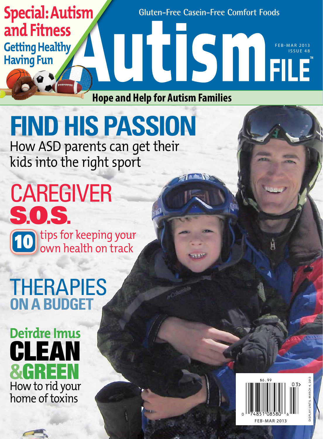### **Gluten-Free Casein-Free Comfort Foods** FEB-MAR 2013 issu e 48 **Special: Autism and Fitness Getting Healthy Having Fun**

**Hope and Help for Autism Families**

# **Find HIS passion**

How ASD parents can get their kids into the right sport

10 CAREGIVER S**.**O**.**S**.** tips for keeping your own health on track

## **THERAPIES on a budget**

### How to rid your home of toxins **Deirdre Imus**  clean **&**green



displ ay until M arch 4, 2013 UNTIL MARCH 4, 201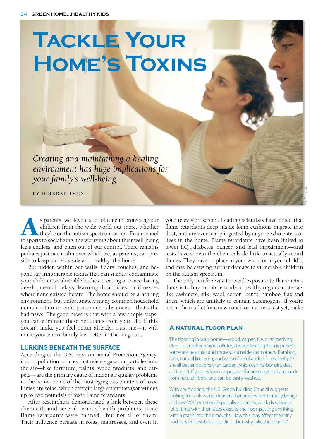# **Tackle Your Home's Toxins**

*Creating and maintaining a healing environment has huge implications for your family's well-being…*

**B y De irdr e Im u s**

s parents, we devote a lot of time to protecting our children from the wide world out there, whether they're on the autism spectrum or not. From school to sports to socializing, the worrving about their well-being children from the wide world out there, whether they're on the autism spectrum or not. From school to sports to socializing, the worrying about their well-being feels endless, and often out of our control. There remains perhaps just one realm over which we, as parents, can preside to keep our kids safe and healthy: the home.

But hidden within our walls, floors, couches, and beyond lay innumerable toxins that can silently contaminate your children's vulnerable bodies, creating or exacerbating developmental delays, learning disabilities, or illnesses where none existed before. The home should be a healing environment, but unfortunately many common household items contain or emit poisonous substances—that's the bad news. The good news is that with a few simple steps, you can eliminate these pollutants from your life. If this doesn't make you feel better already, trust me—it will make your entire family feel better in the long run.

#### **Lurking beneath the surface**

According to the U.S. Environmental Protection Agency, indoor pollution sources that release gases or particles into the air—like furniture, paints, wood products, and carpets—are the primary cause of indoor air quality problems in the home. Some of the most egregious emitters of toxic fumes are sofas, which contain large quantities (sometimes up to two pounds!) of toxic flame retardants.

After researchers demonstrated a link between these chemicals and several serious health problems, some flame retardants were banned—but not all of them. Their influence persists in sofas, mattresses, and even in

your television screen. Leading scientists have noted that flame retardants deep inside foam cushions migrate into dust, and are eventually ingested by anyone who enters or lives in the home. Flame retardants have been linked to lower I.Q., diabetes, cancer, and fetal impairment—and tests have shown the chemicals do little to actually retard flames. They have no place in your world or in your child's, and may be causing further damage to vulnerable children on the autism spectrum.

The only surefire way to avoid exposure to flame retardants is to buy furniture made of healthy organic materials like cashmere, silk, wool, cotton, hemp, bamboo, flax and linen, which are unlikely to contain carcinogens. If you're not in the market for a new couch or mattress just yet, make

#### **A natural floor plan**

The flooring in your home—wood, carpet, tile, or something else—is another major polluter, and while no option is perfect, some are healthier and more sustainable than others. Bamboo, cork, natural linoleum, and wood free of added formaldehyde are all better options than carpet, which can harbor dirt, dust and mold. If you insist on carpet, opt for area rugs that are made from natural fibers, and can be easily washed.

With any flooring, the U.S. Green Building Council suggests looking for sealers and cleaners that are environmentally benign and low-VOC emitting. Especially as babies, our kids spend a lot of time with their faces close to the floor, putting anything within reach into their mouths. How this may affect their tiny bodies is impossible to predict—but why take the chance?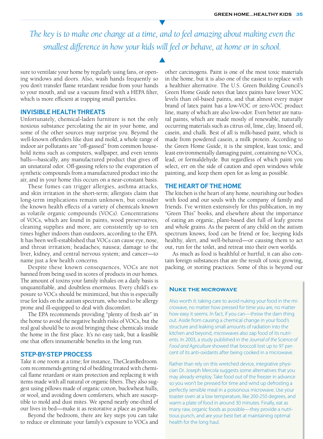*The key is to make one change at a time, and to feel amazing about making even the smallest difference in how your kids will feel or behave, at home or in school.*

 $\blacktriangle$ 

sure to ventilate your home by regularly using fans, or opening windows and doors. Also, wash hands frequently so you don't transfer flame retardant residue from your hands to your mouth, and use a vacuum fitted with a HEPA filter, which is more efficient at trapping small particles.

#### **Invisible health threats**

Unfortunately, chemical-laden furniture is not the only noxious substance percolating the air in your home, and some of the other sources may surprise you. Beyond the well-known offenders like dust and mold, a whole range of indoor air pollutants are "off-gassed" from common household items such as computers, wallpaper, and even tennis balls—basically, any manufactured product that gives off an unnatural odor. Off-gassing refers to the evaporation of synthetic compounds from a manufactured product into the air, and in your home this occurs on a near-constant basis.

These fumes can trigger allergies, asthma attacks, and skin irritation in the short-term; allergists claim that long-term implications remain unknown, but consider the known health effects of a variety of chemicals known as volatile organic compounds (VOCs). Concentrations of VOCs, which are found in paints, wood preservatives, cleaning supplies and more, are consistently up to ten times higher indoors than outdoors, according to the EPA. It has been well-established that VOCs can cause eye, nose, and throat irritation; headaches; nausea; damage to the liver, kidney, and central nervous system; and cancer—to name just a few health concerns.

Despite these known consequences, VOCs are not banned from being used in scores of products in our homes. The amount of toxins your family inhales on a daily basis is unquantifiable, and doubtless enormous. Every child's exposure to VOCs should be minimized, but this is especially true for kids on the autism spectrum, who tend to be allergy prone and ill-equipped to deal with discomfort.

The EPA recommends providing "plenty of fresh air" in the home to avoid the negative health risks of VOCs, but the real goal should be to avoid bringing these chemicals inside the home in the first place. It's no easy task, but a feasible one that offers innumerable benefits in the long run.

#### **Step-by-step process**

Take it one room at a time; for instance, TheCleanBedroom. com recommends getting rid of bedding treated with chemical flame retardant or stain protection and replacing it with items made with all natural or organic fibers. They also suggest using pillows made of organic cotton, buckwheat hulls, or wool, and avoiding down comforters, which are susceptible to mold and dust mites. We spend nearly one-third of our lives in bed—make it as restorative a place as possible.

Beyond the bedroom, there are key steps you can take to reduce or eliminate your family's exposure to VOCs and other carcinogens. Paint is one of the most toxic materials in the home, but it is also one of the easiest to replace with a healthier alternative. The U.S. Green Building Council's Green Home Guide notes that latex paints have lower VOC levels than oil-based paints, and that almost every major brand of latex paint has a low-VOC or zero-VOC product line, many of which are also low-odor. Even better are natural paints, which are made mostly of renewable, naturally occurring materials such as citrus oil, lime, clay, linseed oil, casein, and chalk. Best of all is milk-based paint, which is made from powdered casein, a milk protein. According to the Green Home Guide, it is the simplest, least toxic, and least environmentally damaging paint, containing no VOCs, lead, or formaldehyde. But regardless of which paint you select, err on the side of caution and open windows while painting, and keep them open for as long as possible.

#### **The heart of the home**

The kitchen is the heart of any home, nourishing our bodies with food and our souls with the company of family and friends. I've written extensively for this publication, in my "Green This" books, and elsewhere about the importance of eating an organic, plant-based diet full of leafy greens and whole grains. As the parent of any child on the autism spectrum knows, food can be friend or foe, keeping kids healthy, alert, and well-behaved—or causing them to act out, run for the toilet, and retreat into their own worlds.

As much as food is healthful or hurtful, it can also contain foreign substances that are the result of toxic growing, packing, or storing practices. Some of this is beyond our

#### **Nuke the microwave**

Also worth it: taking care to avoid nuking your food in the microwave, no matter how pressed for time you are, no matter how easy it seems. In fact, if you can—throw the darn thing out. Aside from causing a chemical change in your food's structure and leaking small amounts of radiation into the kitchen and beyond, microwaves also zap food of its nutrients. In 2003, a study published in the *Journal of the Science of Food and Agriculture* showed that broccoli lost up to 97 percent of its anti-oxidants after being cooked in a microwave.

Rather than rely on this wretched device, integrative physician Dr. Joseph Mercola suggests some alternatives that you may already employ. Take food out of the freezer in advance so you won't be pressed for time and wind up defrosting a perfectly sensible meal in a poisonous microwave. Use your toaster oven at a low temperature, like 200-250 degrees, and warm a plate of food in around 30 minutes. Finally, eat as many raw, organic foods as possible—they provide a nutritious punch, and are your best bet at maintaining optimal health for the long haul.